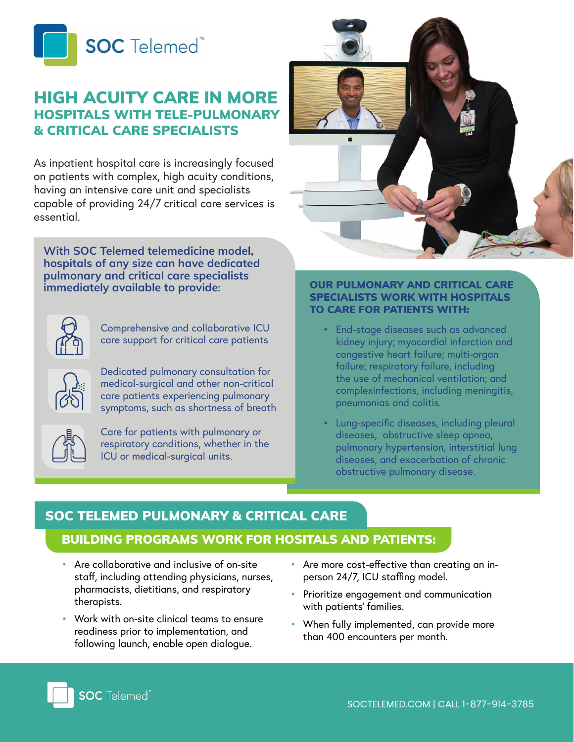

## HIGH ACUITY CARE IN MORE HOSPITALS WITH TELE-PULMONARY & CRITICAL CARE SPECIALISTS

As inpatient hospital care is increasingly focused on patients with complex, high acuity conditions, having an intensive care unit and specialists capable of providing 24/7 critical care services is essential.

**With SOC Telemed telemedicine model, hospitals of any size can have dedicated pulmonary and critical care specialists immediately available to provide:**



Comprehensive and collaborative ICU care support for critical care patients

Dedicated pulmonary consultation for medical-surgical and other non-critical care patients experiencing pulmonary symptoms, such as shortness of breath



Care for patients with pulmonary or respiratory conditions, whether in the ICU or medical-surgical units.



#### OUR PULMONARY AND CRITICAL CARE SPECIALISTS WORK WITH HOSPITALS TO CARE FOR PATIENTS WITH:

- End-stage diseases such as advanced kidney injury; myocardial infarction and congestive heart failure; multi-organ failure; respiratory failure, including the use of mechanical ventilation; and complexinfections, including meningitis, pneumonias and colitis.
- Lung-specific diseases, including pleural diseases, obstructive sleep apnea, pulmonary hypertension, interstitial lung diseases, and exacerbation of chronic obstructive pulmonary disease.

# SOC TELEMED PULMONARY & CRITICAL CARE BUILDING PROGRAMS WORK FOR HOSITALS AND PATIENTS:

- Are collaborative and inclusive of on-site staff, including attending physicians, nurses, pharmacists, dietitians, and respiratory therapists.
- Work with on-site clinical teams to ensure readiness prior to implementation, and following launch, enable open dialogue.
- Are more cost-effective than creating an inperson 24/7, ICU staffing model.
- Prioritize engagement and communication with patients' families.
- When fully implemented, can provide more than 400 encounters per month.